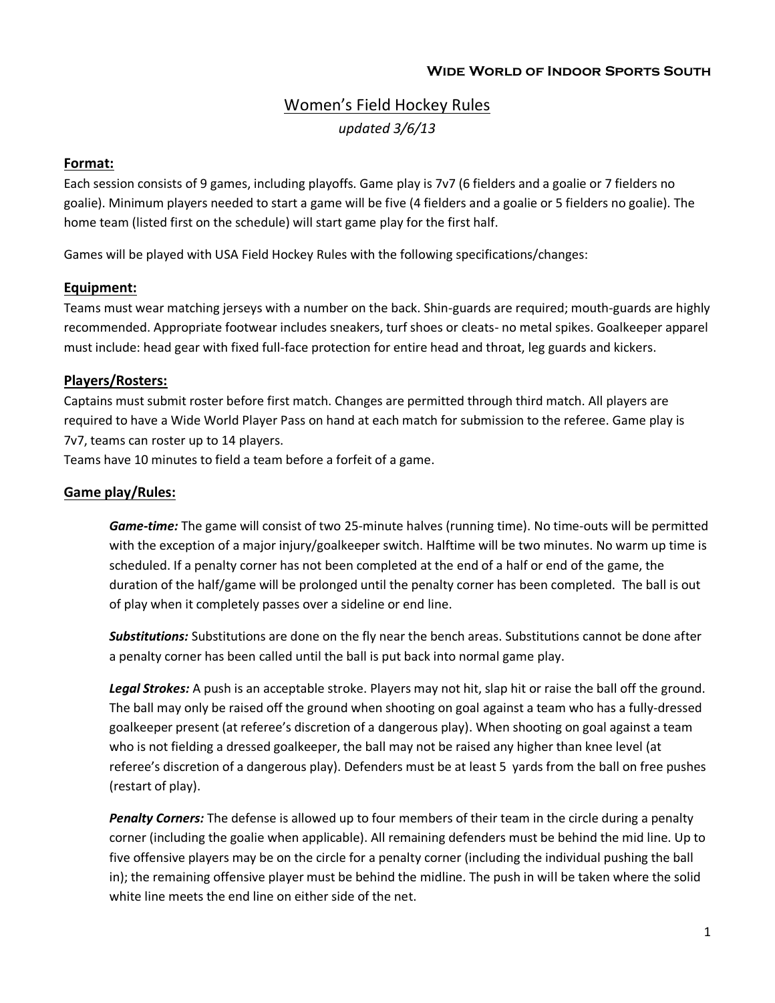# Women's Field Hockey Rules *updated 3/6/13*

## **Format:**

Each session consists of 9 games, including playoffs. Game play is 7v7 (6 fielders and a goalie or 7 fielders no goalie). Minimum players needed to start a game will be five (4 fielders and a goalie or 5 fielders no goalie). The home team (listed first on the schedule) will start game play for the first half.

Games will be played with USA Field Hockey Rules with the following specifications/changes:

## **Equipment:**

Teams must wear matching jerseys with a number on the back. Shin-guards are required; mouth-guards are highly recommended. Appropriate footwear includes sneakers, turf shoes or cleats- no metal spikes. Goalkeeper apparel must include: head gear with fixed full-face protection for entire head and throat, leg guards and kickers.

#### **Players/Rosters:**

Captains must submit roster before first match. Changes are permitted through third match. All players are required to have a Wide World Player Pass on hand at each match for submission to the referee. Game play is 7v7, teams can roster up to 14 players.

Teams have 10 minutes to field a team before a forfeit of a game.

#### **Game play/Rules:**

*Game-time:* The game will consist of two 25-minute halves (running time). No time-outs will be permitted with the exception of a major injury/goalkeeper switch. Halftime will be two minutes. No warm up time is scheduled. If a penalty corner has not been completed at the end of a half or end of the game, the duration of the half/game will be prolonged until the penalty corner has been completed. The ball is out of play when it completely passes over a sideline or end line.

*Substitutions:* Substitutions are done on the fly near the bench areas. Substitutions cannot be done after a penalty corner has been called until the ball is put back into normal game play.

*Legal Strokes:* A push is an acceptable stroke. Players may not hit, slap hit or raise the ball off the ground. The ball may only be raised off the ground when shooting on goal against a team who has a fully-dressed goalkeeper present (at referee's discretion of a dangerous play). When shooting on goal against a team who is not fielding a dressed goalkeeper, the ball may not be raised any higher than knee level (at referee's discretion of a dangerous play). Defenders must be at least 5 yards from the ball on free pushes (restart of play).

*Penalty Corners:* The defense is allowed up to four members of their team in the circle during a penalty corner (including the goalie when applicable). All remaining defenders must be behind the mid line. Up to five offensive players may be on the circle for a penalty corner (including the individual pushing the ball in); the remaining offensive player must be behind the midline. The push in will be taken where the solid white line meets the end line on either side of the net.